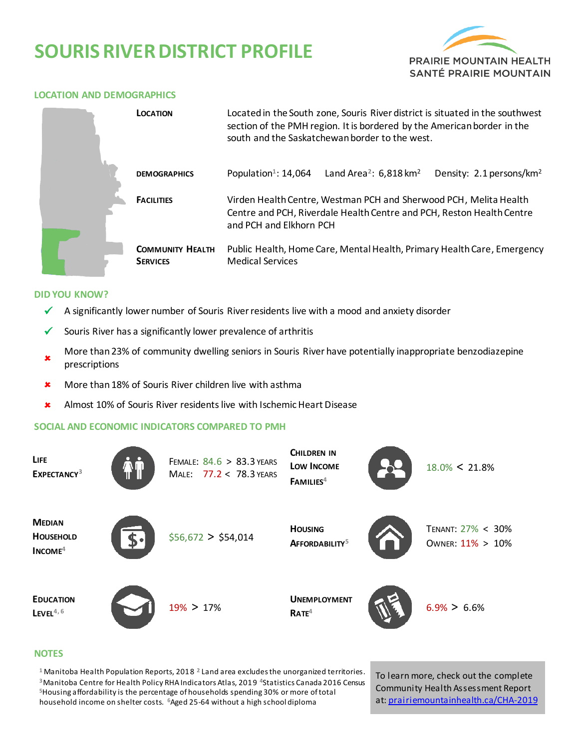# **SOURISRIVERDISTRICT PROFILE**



### **LOCATION AND DEMOGRAPHICS**

|  | LOCATION                                   | Located in the South zone, Souris River district is situated in the southwest<br>section of the PMH region. It is bordered by the American border in the<br>south and the Saskatchewan border to the west. |                                                                                                                                            |                                                                         |  |
|--|--------------------------------------------|------------------------------------------------------------------------------------------------------------------------------------------------------------------------------------------------------------|--------------------------------------------------------------------------------------------------------------------------------------------|-------------------------------------------------------------------------|--|
|  | <b>DEMOGRAPHICS</b>                        | Population <sup>1</sup> : 14,064                                                                                                                                                                           | Land Area <sup>2</sup> : $6,818$ km <sup>2</sup>                                                                                           | Density: 2.1 persons/km <sup>2</sup>                                    |  |
|  | <b>FACILITIES</b>                          | and PCH and Elkhorn PCH                                                                                                                                                                                    | Virden Health Centre, Westman PCH and Sherwood PCH, Melita Health<br>Centre and PCH, Riverdale Health Centre and PCH, Reston Health Centre |                                                                         |  |
|  | <b>COMMUNITY HEALTH</b><br><b>SERVICES</b> | <b>Medical Services</b>                                                                                                                                                                                    |                                                                                                                                            | Public Health, Home Care, Mental Health, Primary Health Care, Emergency |  |

#### **DID YOU KNOW?**

- $\checkmark$  A significantly lower number of Souris River residents live with a mood and anxiety disorder
- Souris River has a significantly lower prevalence of arthritis
- $\overline{\mathbf{x}}$ More than23% of community dwelling seniors in Souris River have potentially inappropriate benzodiazepine prescriptions
- **\*** More than 18% of Souris River children live with asthma
- \* Almost 10% of Souris River residents live with Ischemic Heart Disease

#### **SOCIAL AND ECONOMIC INDICATORS COMPARED TO PMH**

| <b>LIFE</b><br>EXPECTANCY <sup>3</sup>         |    | FEMALE: 84.6 > 83.3 YEARS<br>MALE: 77.2 < 78.3 YEARS | <b>CHILDREN IN</b><br>LOW INCOME<br>FAMILIES <sup>4</sup> | $18.0\% < 21.8\%$                     |
|------------------------------------------------|----|------------------------------------------------------|-----------------------------------------------------------|---------------------------------------|
| <b>MEDIAN</b><br><b>HOUSEHOLD</b><br>$INCOME4$ | S٠ | \$56,672 > \$54,014                                  | <b>HOUSING</b><br>AFFORDABILITY <sup>5</sup>              | TENANT: 27% < 30%<br>OWNER: 11% > 10% |
| <b>EDUCATION</b><br>$L$ EVEL <sup>4,6</sup>    |    | $19\% > 17\%$                                        | <b>UNEMPLOYMENT</b><br>RATE <sup>4</sup>                  | $6.9\% > 6.6\%$                       |

#### **NOTES**

 Manitoba Health Population Reports, 2018 **<sup>2</sup>**Land area excludes the unorganized territories. Manitoba Centre for Health Policy RHA Indicators Atlas, 2019 **<sup>4</sup>**Statistics Canada 2016 Census Housing affordability is the percentage of households spending 30% or more of total household income on shelter costs. **<sup>6</sup>**Aged 25-64 without a high school diploma

To learn more, check out the complete Community Health Assessment Report at[: prairiemountainhealth.ca/CHA-2019](https://prairiemountainhealth.ca/CHA-2019)